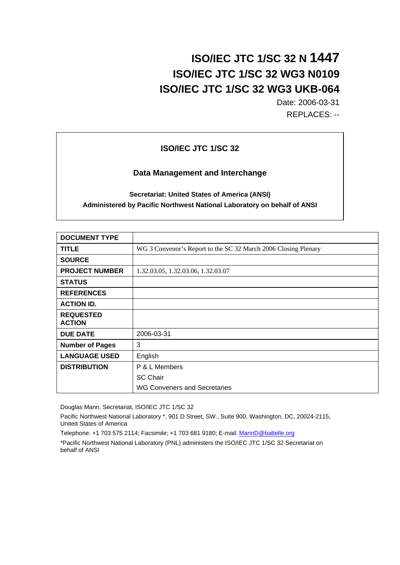# **ISO/IEC JTC 1/SC 32 N 1447 ISO/IEC JTC 1/SC 32 WG3 N0109 ISO/IEC JTC 1/SC 32 WG3 UKB-064**

Date: 2006-03-31 REPLACES: --

### **ISO/IEC JTC 1/SC 32**

### **Data Management and Interchange**

### **Secretariat: United States of America (ANSI) Administered by Pacific Northwest National Laboratory on behalf of ANSI**

| <b>DOCUMENT TYPE</b>              |                                                                |
|-----------------------------------|----------------------------------------------------------------|
| <b>TITLE</b>                      | WG 3 Convenor's Report to the SC 32 March 2006 Closing Plenary |
| <b>SOURCE</b>                     |                                                                |
| <b>PROJECT NUMBER</b>             | 1.32.03.05, 1.32.03.06, 1.32.03.07                             |
| <b>STATUS</b>                     |                                                                |
| <b>REFERENCES</b>                 |                                                                |
| <b>ACTION ID.</b>                 |                                                                |
| <b>REQUESTED</b><br><b>ACTION</b> |                                                                |
| <b>DUE DATE</b>                   | 2006-03-31                                                     |
| <b>Number of Pages</b>            | 3                                                              |
| <b>LANGUAGE USED</b>              | English                                                        |
| <b>DISTRIBUTION</b>               | P & L Members                                                  |
|                                   | <b>SC Chair</b>                                                |
|                                   | WG Conveners and Secretaries                                   |

Douglas Mann, Secretariat, ISO/IEC JTC 1/SC 32

Pacific Northwest National Laboratory \*, 901 D Street, SW., Suite 900, Washington, DC, 20024-2115, United States of America

Telephone: +1 703 575 2114; Facsimile; +1 703 681 9180; E-mail: MannD@battelle.org

\*Pacific Northwest National Laboratory (PNL) administers the ISO/IEC JTC 1/SC 32 Secretariat on behalf of ANSI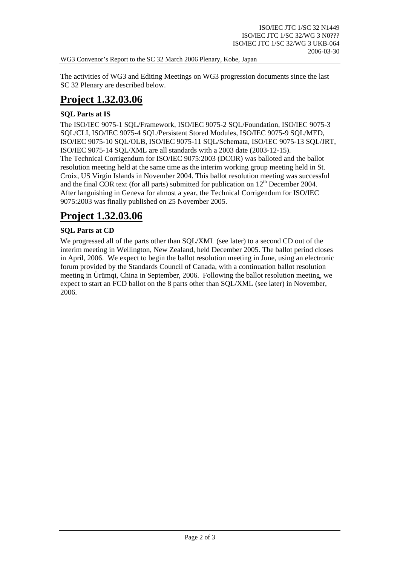WG3 Convenor's Report to the SC 32 March 2006 Plenary, Kobe, Japan

The activities of WG3 and Editing Meetings on WG3 progression documents since the last SC 32 Plenary are described below.

# **Project 1.32.03.06**

### **SQL Parts at IS**

The ISO/IEC 9075-1 SQL/Framework, ISO/IEC 9075-2 SQL/Foundation, ISO/IEC 9075-3 SQL/CLI, ISO/IEC 9075-4 SQL/Persistent Stored Modules, ISO/IEC 9075-9 SQL/MED, ISO/IEC 9075-10 SQL/OLB, ISO/IEC 9075-11 SQL/Schemata, ISO/IEC 9075-13 SQL/JRT, ISO/IEC 9075-14 SQL/XML are all standards with a 2003 date (2003-12-15). The Technical Corrigendum for ISO/IEC 9075:2003 (DCOR) was balloted and the ballot resolution meeting held at the same time as the interim working group meeting held in St. Croix, US Virgin Islands in November 2004. This ballot resolution meeting was successful and the final COR text (for all parts) submitted for publication on  $12<sup>th</sup>$  December 2004. After languishing in Geneva for almost a year, the Technical Corrigendum for ISO/IEC 9075:2003 was finally published on 25 November 2005.

# **Project 1.32.03.06**

### **SQL Parts at CD**

We progressed all of the parts other than SOL/XML (see later) to a second CD out of the interim meeting in Wellington, New Zealand, held December 2005. The ballot period closes in April, 2006. We expect to begin the ballot resolution meeting in June, using an electronic forum provided by the Standards Council of Canada, with a continuation ballot resolution meeting in Ürümqi, China in September, 2006. Following the ballot resolution meeting, we expect to start an FCD ballot on the 8 parts other than SQL/XML (see later) in November, 2006.